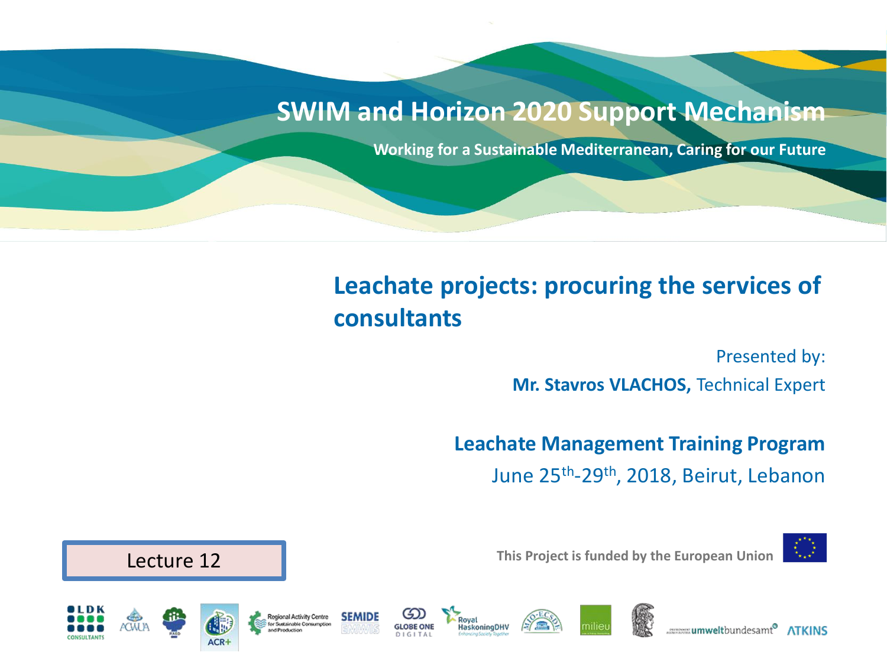#### **SWIM and Horizon 2020 Support Mechanism**

**Working for a Sustainable Mediterranean, Caring for our Future**

#### **Leachate projects: procuring the services of consultants**

**laskoningDHV** 

Presented by:

**Mr. Stavros VLACHOS,** Technical Expert

**Leachate Management Training Program**  June 25th -29th, 2018, Beirut, Lebanon



**This Project is funded by the European Union**



**Regional Activity Centre** 



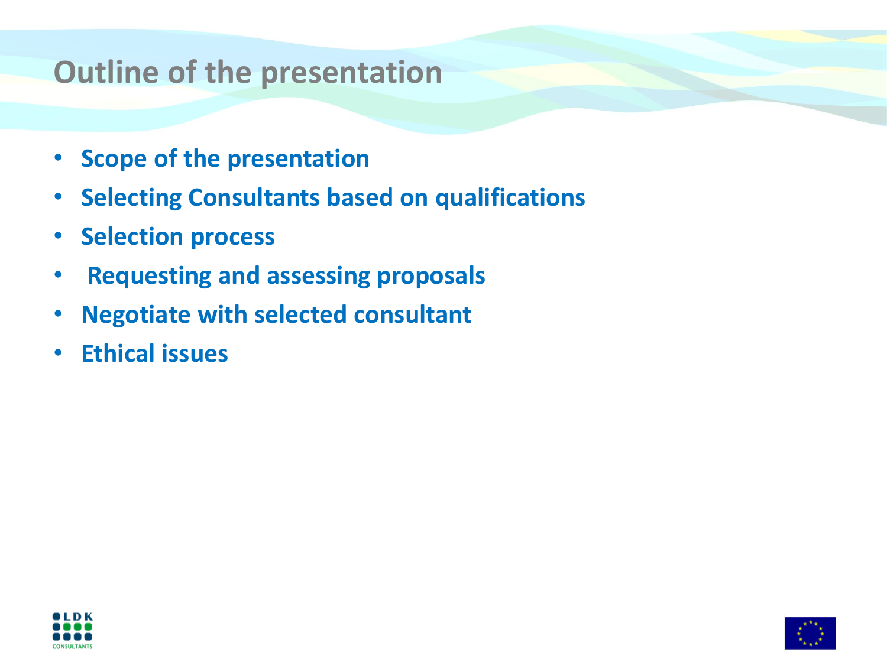# **Outline of the presentation**

- **Scope of the presentation**
- **Selecting Consultants based on qualifications**
- **Selection process**
- **Requesting and assessing proposals**
- **Negotiate with selected consultant**
- **Ethical issues**



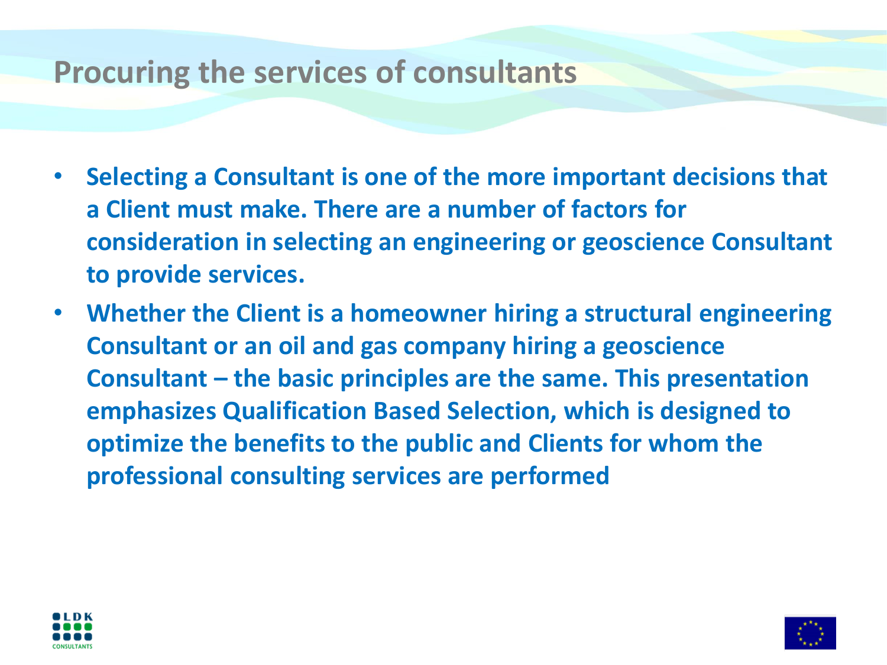#### **Procuring the services of consultants**

- **Selecting a Consultant is one of the more important decisions that a Client must make. There are a number of factors for consideration in selecting an engineering or geoscience Consultant to provide services.**
- **Whether the Client is a homeowner hiring a structural engineering Consultant or an oil and gas company hiring a geoscience Consultant – the basic principles are the same. This presentation emphasizes Qualification Based Selection, which is designed to optimize the benefits to the public and Clients for whom the professional consulting services are performed**



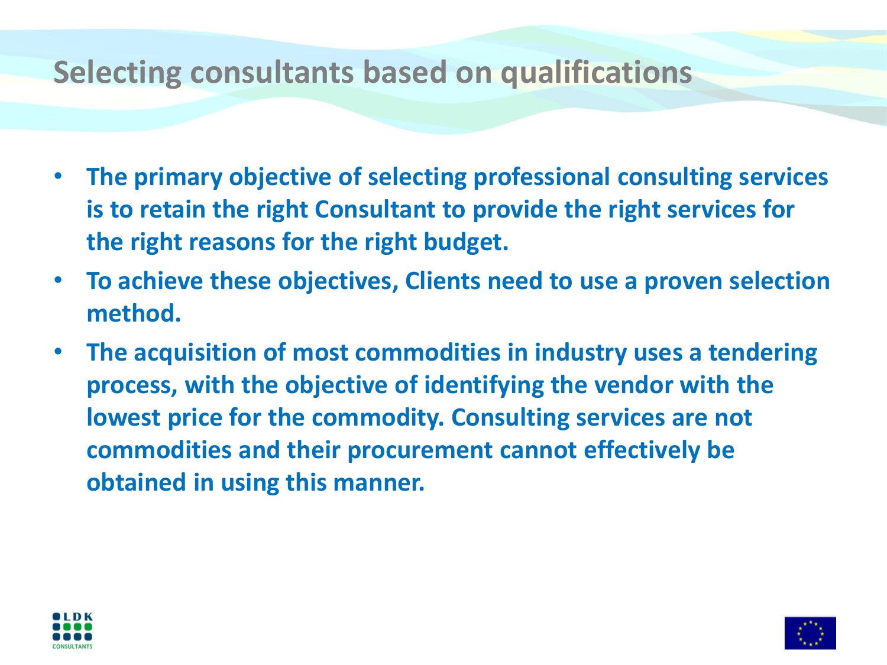#### **Selecting consultants based on qualifications**

- **The primary objective of selecting professional consulting services is to retain the right Consultant to provide the right services for the right reasons for the right budget.**
- **To achieve these objectives, Clients need to use a proven selection method.**
- **The acquisition of most commodities in industry uses a tendering process, with the objective of identifying the vendor with the lowest price for the commodity. Consulting services are not commodities and their procurement cannot effectively be obtained in using this manner.**



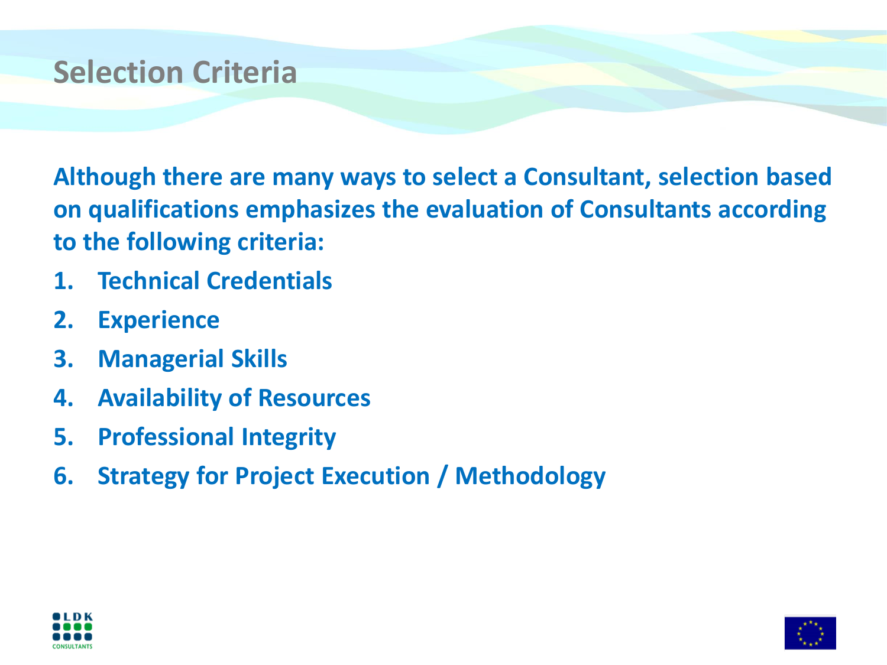### **Selection Criteria**

**Although there are many ways to select a Consultant, selection based on qualifications emphasizes the evaluation of Consultants according to the following criteria:**

- **1. Technical Credentials**
- **2. Experience**
- **3. Managerial Skills**
- **4. Availability of Resources**
- **5. Professional Integrity**
- **6. Strategy for Project Execution / Methodology**



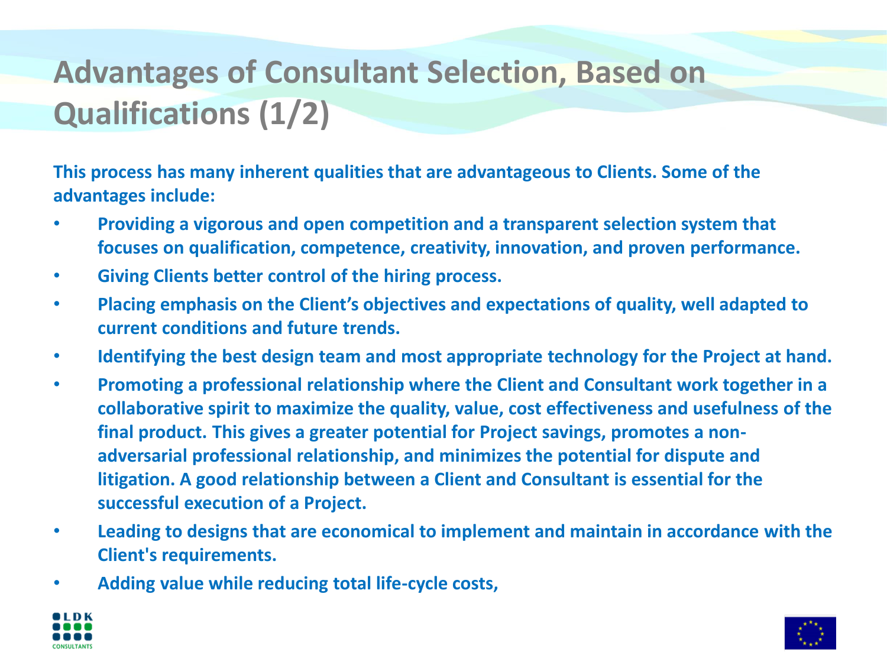# **Advantages of Consultant Selection, Based on Qualifications (1/2)**

**This process has many inherent qualities that are advantageous to Clients. Some of the advantages include:**

- **Providing a vigorous and open competition and a transparent selection system that focuses on qualification, competence, creativity, innovation, and proven performance.**
- **Giving Clients better control of the hiring process.**
- **Placing emphasis on the Client's objectives and expectations of quality, well adapted to current conditions and future trends.**
- **Identifying the best design team and most appropriate technology for the Project at hand.**
- **Promoting a professional relationship where the Client and Consultant work together in a collaborative spirit to maximize the quality, value, cost effectiveness and usefulness of the final product. This gives a greater potential for Project savings, promotes a nonadversarial professional relationship, and minimizes the potential for dispute and litigation. A good relationship between a Client and Consultant is essential for the successful execution of a Project.**
- **Leading to designs that are economical to implement and maintain in accordance with the Client's requirements.**
- **Adding value while reducing total life-cycle costs,**



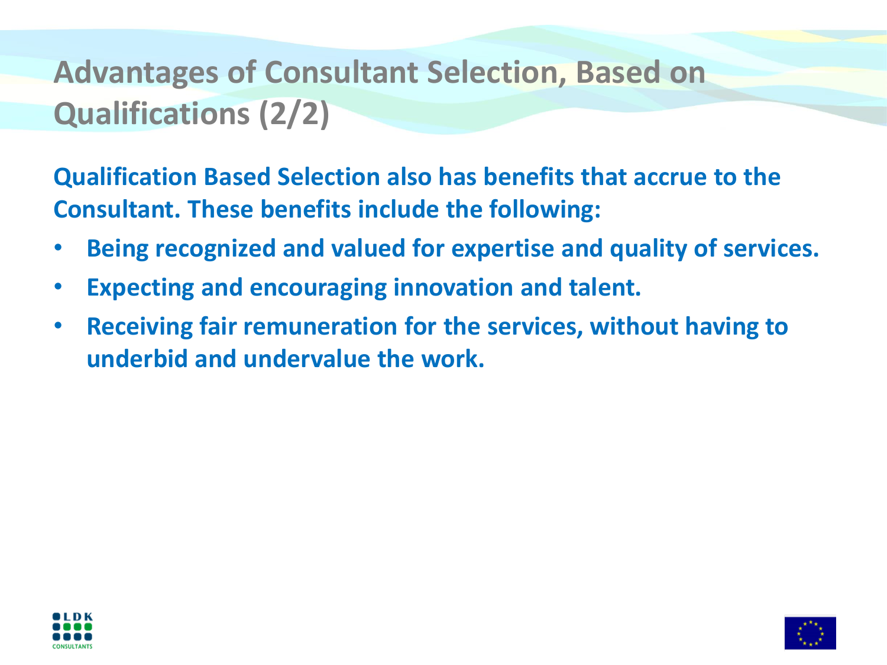# **Advantages of Consultant Selection, Based on Qualifications (2/2)**

**Qualification Based Selection also has benefits that accrue to the Consultant. These benefits include the following:**

- **Being recognized and valued for expertise and quality of services.**
- **Expecting and encouraging innovation and talent.**
- **Receiving fair remuneration for the services, without having to underbid and undervalue the work.**



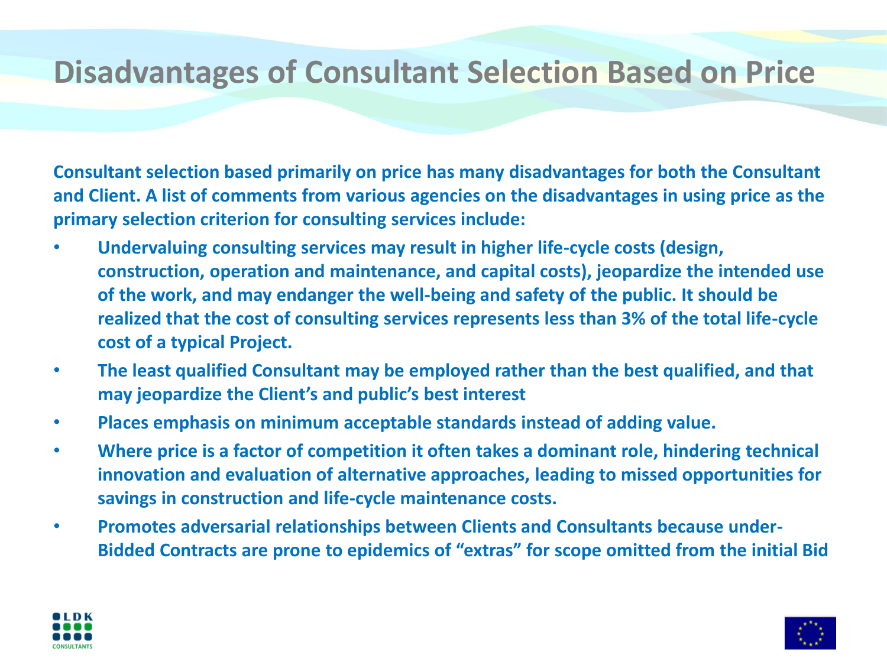### **Disadvantages of Consultant Selection Based on Price**

**Consultant selection based primarily on price has many disadvantages for both the Consultant and Client. A list of comments from various agencies on the disadvantages in using price as the primary selection criterion for consulting services include:**

- **Undervaluing consulting services may result in higher life-cycle costs (design, construction, operation and maintenance, and capital costs), jeopardize the intended use of the work, and may endanger the well-being and safety of the public. It should be realized that the cost of consulting services represents less than 3% of the total life-cycle cost of a typical Project.**
- **The least qualified Consultant may be employed rather than the best qualified, and that may jeopardize the Client's and public's best interest**
- **Places emphasis on minimum acceptable standards instead of adding value.**
- **Where price is a factor of competition it often takes a dominant role, hindering technical innovation and evaluation of alternative approaches, leading to missed opportunities for savings in construction and life-cycle maintenance costs.**
- **Promotes adversarial relationships between Clients and Consultants because under-Bidded Contracts are prone to epidemics of "extras" for scope omitted from the initial Bid**



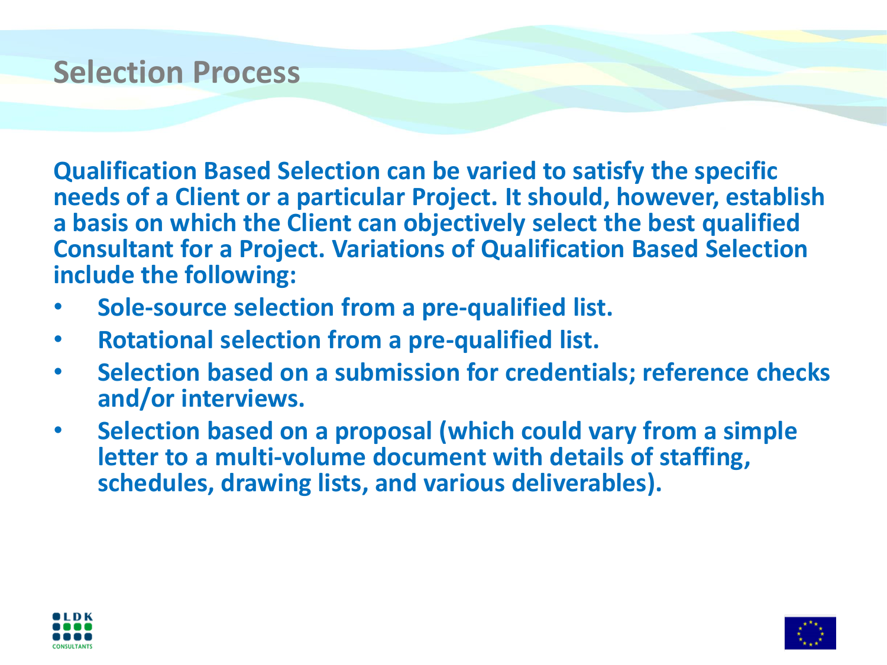#### **Selection Process**

**Qualification Based Selection can be varied to satisfy the specific needs of a Client or a particular Project. It should, however, establish a basis on which the Client can objectively select the best qualified Consultant for a Project. Variations of Qualification Based Selection include the following:**

- **Sole-source selection from a pre-qualified list.**
- **Rotational selection from a pre-qualified list.**
- **Selection based on a submission for credentials; reference checks and/or interviews.**
- **Selection based on a proposal (which could vary from a simple letter to a multi-volume document with details of staffing, schedules, drawing lists, and various deliverables).**



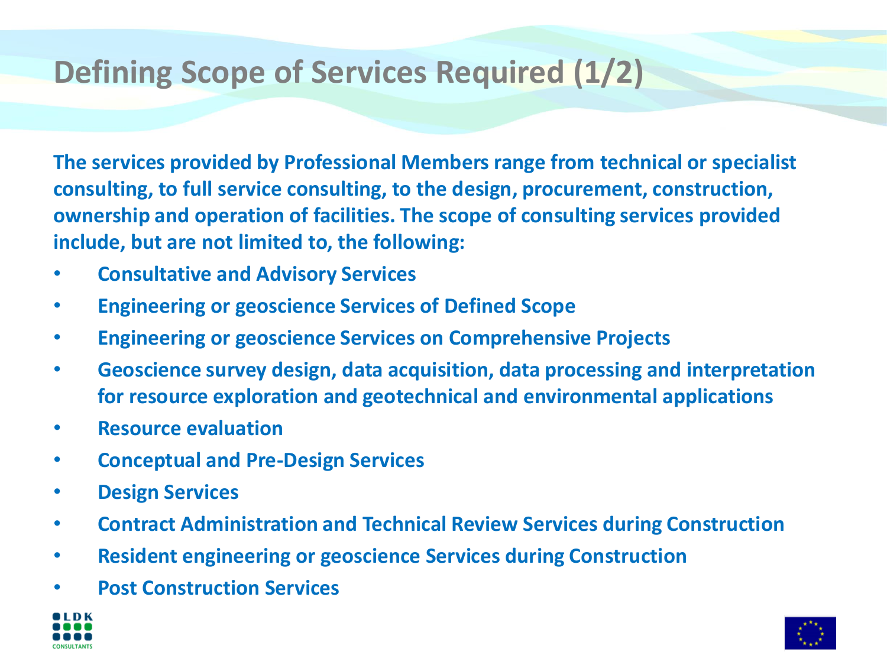# **Defining Scope of Services Required (1/2)**

**The services provided by Professional Members range from technical or specialist consulting, to full service consulting, to the design, procurement, construction, ownership and operation of facilities. The scope of consulting services provided include, but are not limited to, the following:**

- **Consultative and Advisory Services**
- **Engineering or geoscience Services of Defined Scope**
- **Engineering or geoscience Services on Comprehensive Projects**
- **Geoscience survey design, data acquisition, data processing and interpretation for resource exploration and geotechnical and environmental applications**
- **Resource evaluation**
- **Conceptual and Pre-Design Services**
- **Design Services**
- **Contract Administration and Technical Review Services during Construction**
- **Resident engineering or geoscience Services during Construction**
- **Post Construction Services**



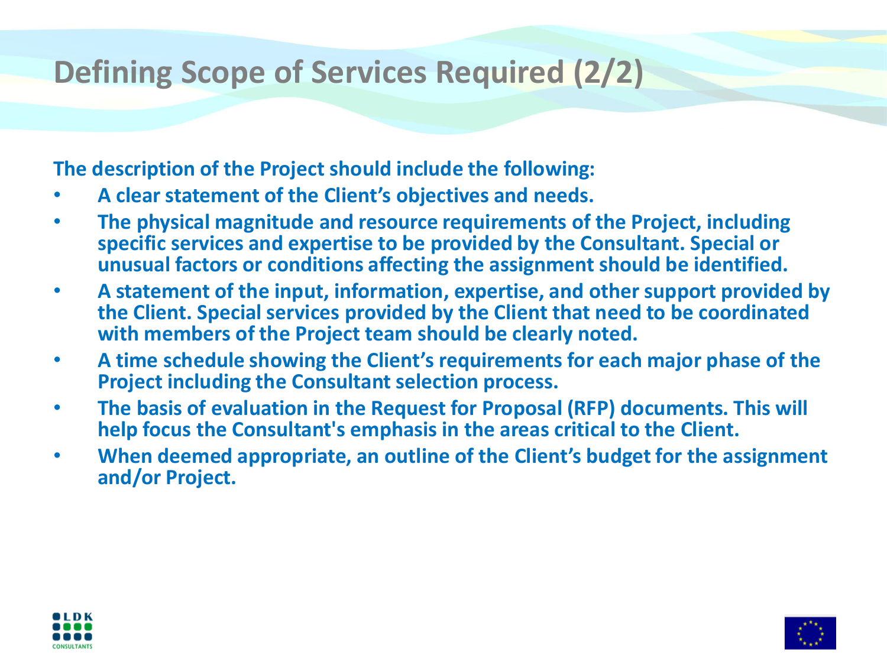# **Defining Scope of Services Required (2/2)**

#### **The description of the Project should include the following:**

- **A clear statement of the Client's objectives and needs.**
- **The physical magnitude and resource requirements of the Project, including specific services and expertise to be provided by the Consultant. Special or unusual factors or conditions affecting the assignment should be identified.**
- **A statement of the input, information, expertise, and other support provided by the Client. Special services provided by the Client that need to be coordinated with members of the Project team should be clearly noted.**
- **A time schedule showing the Client's requirements for each major phase of the Project including the Consultant selection process.**
- **The basis of evaluation in the Request for Proposal (RFP) documents. This will help focus the Consultant's emphasis in the areas critical to the Client.**
- **When deemed appropriate, an outline of the Client's budget for the assignment and/or Project.**



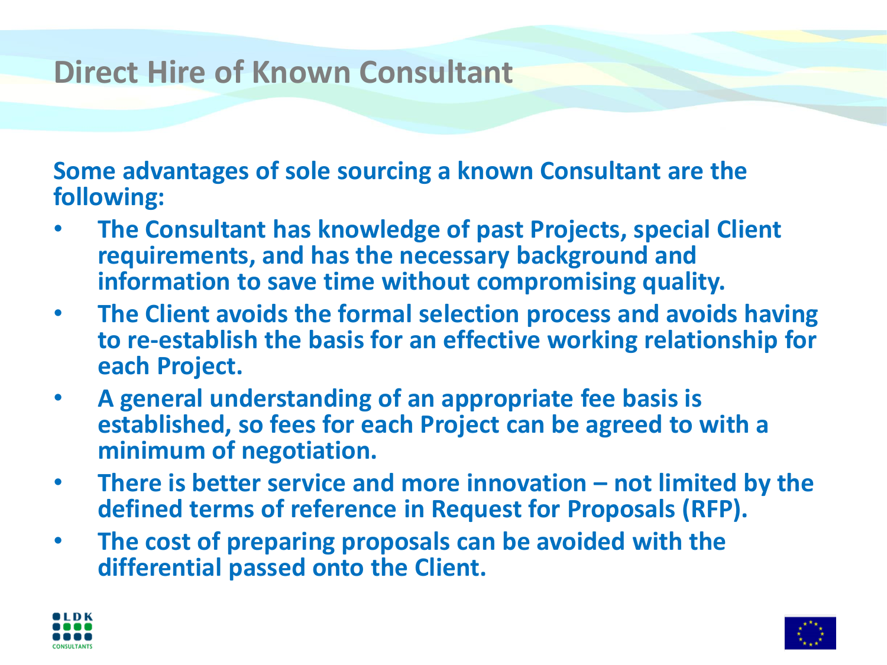# **Direct Hire of Known Consultant**

**Some advantages of sole sourcing a known Consultant are the following:**

- **The Consultant has knowledge of past Projects, special Client requirements, and has the necessary background and information to save time without compromising quality.**
- **The Client avoids the formal selection process and avoids having to re-establish the basis for an effective working relationship for each Project.**
- **A general understanding of an appropriate fee basis is established, so fees for each Project can be agreed to with a minimum of negotiation.**
- **There is better service and more innovation – not limited by the defined terms of reference in Request for Proposals (RFP).**
- **The cost of preparing proposals can be avoided with the differential passed onto the Client.**



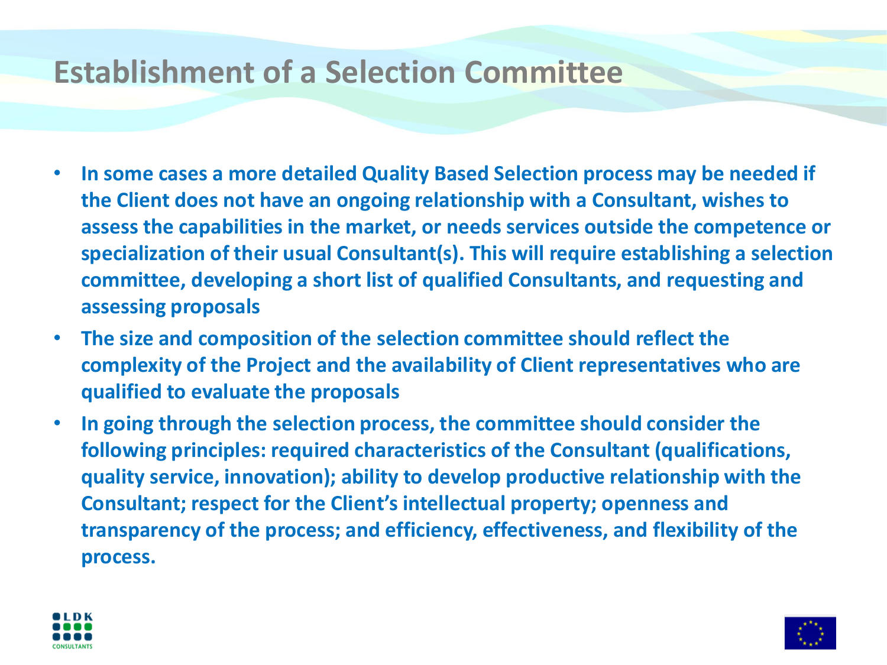## **Establishment of a Selection Committee**

- **In some cases a more detailed Quality Based Selection process may be needed if the Client does not have an ongoing relationship with a Consultant, wishes to assess the capabilities in the market, or needs services outside the competence or specialization of their usual Consultant(s). This will require establishing a selection committee, developing a short list of qualified Consultants, and requesting and assessing proposals**
- **The size and composition of the selection committee should reflect the complexity of the Project and the availability of Client representatives who are qualified to evaluate the proposals**
- **In going through the selection process, the committee should consider the following principles: required characteristics of the Consultant (qualifications, quality service, innovation); ability to develop productive relationship with the Consultant; respect for the Client's intellectual property; openness and transparency of the process; and efficiency, effectiveness, and flexibility of the process.**



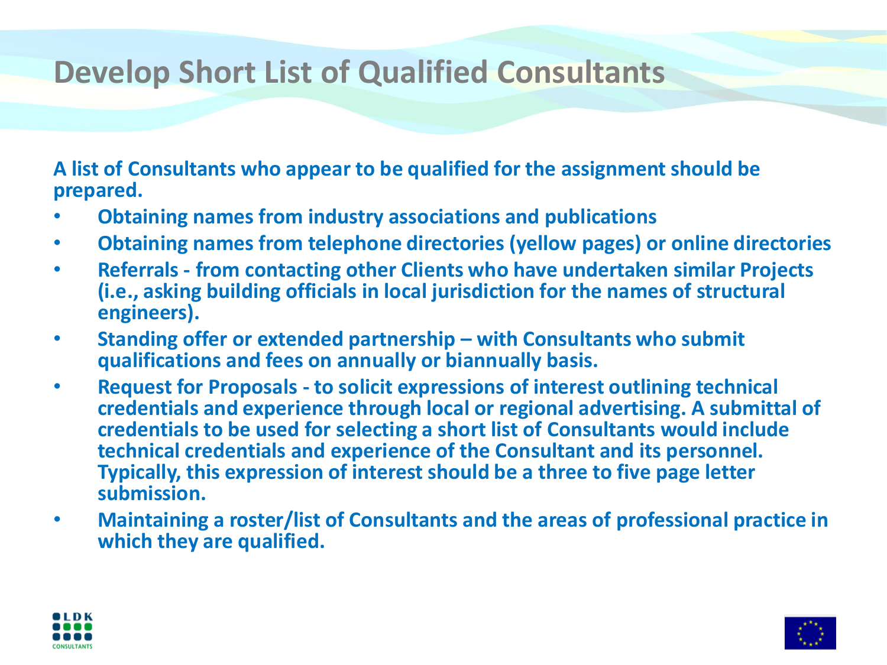# **Develop Short List of Qualified Consultants**

**A list of Consultants who appear to be qualified for the assignment should be prepared.**

- **Obtaining names from industry associations and publications**
- **Obtaining names from telephone directories (yellow pages) or online directories**
- **Referrals - from contacting other Clients who have undertaken similar Projects (i.e., asking building officials in local jurisdiction for the names of structural engineers).**
- **Standing offer or extended partnership – with Consultants who submit qualifications and fees on annually or biannually basis.**
- **Request for Proposals - to solicit expressions of interest outlining technical credentials and experience through local or regional advertising. A submittal of credentials to be used for selecting a short list of Consultants would include technical credentials and experience of the Consultant and its personnel. Typically, this expression of interest should be a three to five page letter submission.**
- **Maintaining a roster/list of Consultants and the areas of professional practice in which they are qualified.**



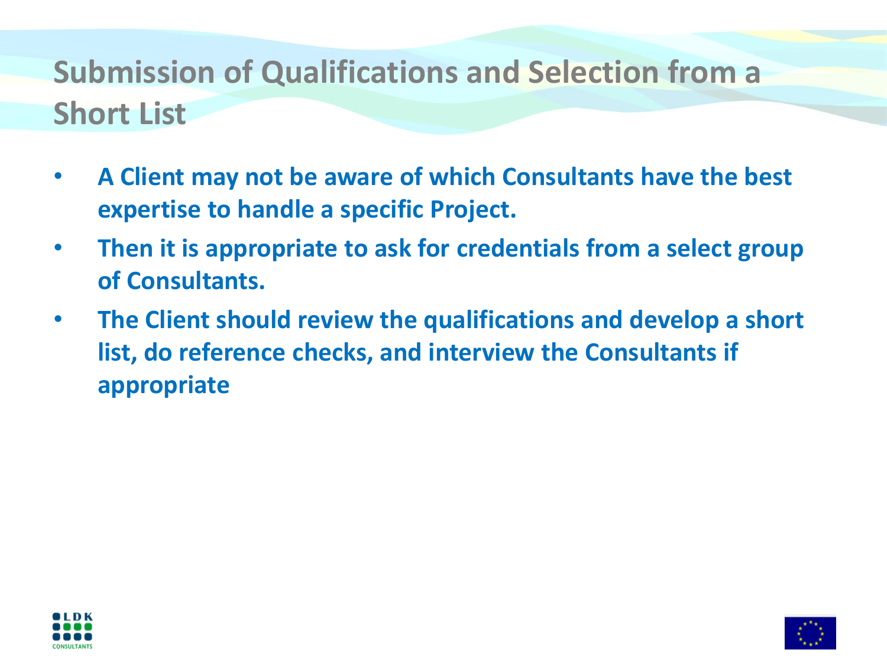# **Submission of Qualifications and Selection from a Short List**

- **A Client may not be aware of which Consultants have the best expertise to handle a specific Project.**
- **Then it is appropriate to ask for credentials from a select group of Consultants.**
- **The Client should review the qualifications and develop a short list, do reference checks, and interview the Consultants if appropriate**



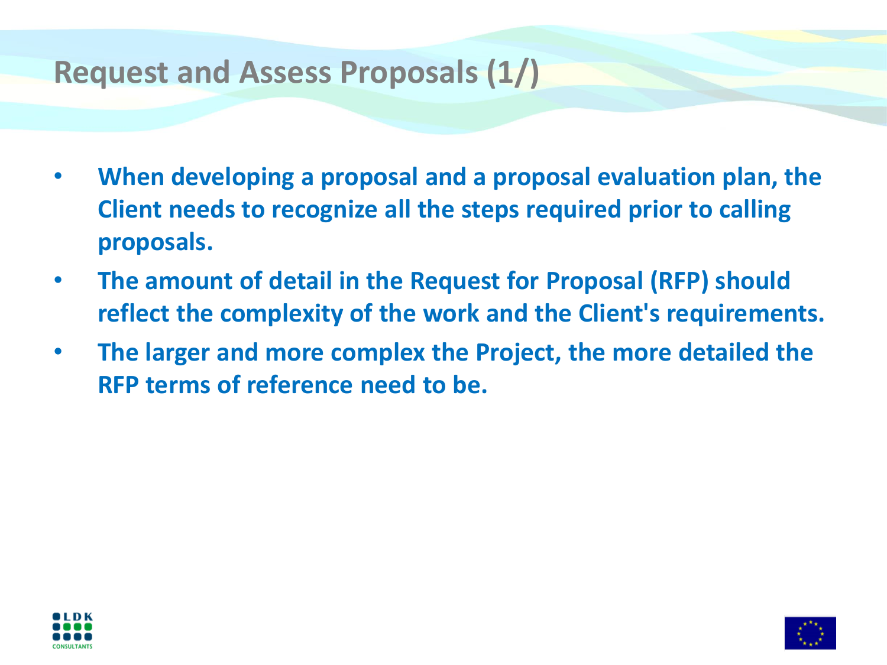## **Request and Assess Proposals (1/)**

- **When developing a proposal and a proposal evaluation plan, the Client needs to recognize all the steps required prior to calling proposals.**
- **The amount of detail in the Request for Proposal (RFP) should reflect the complexity of the work and the Client's requirements.**
- **The larger and more complex the Project, the more detailed the RFP terms of reference need to be.**



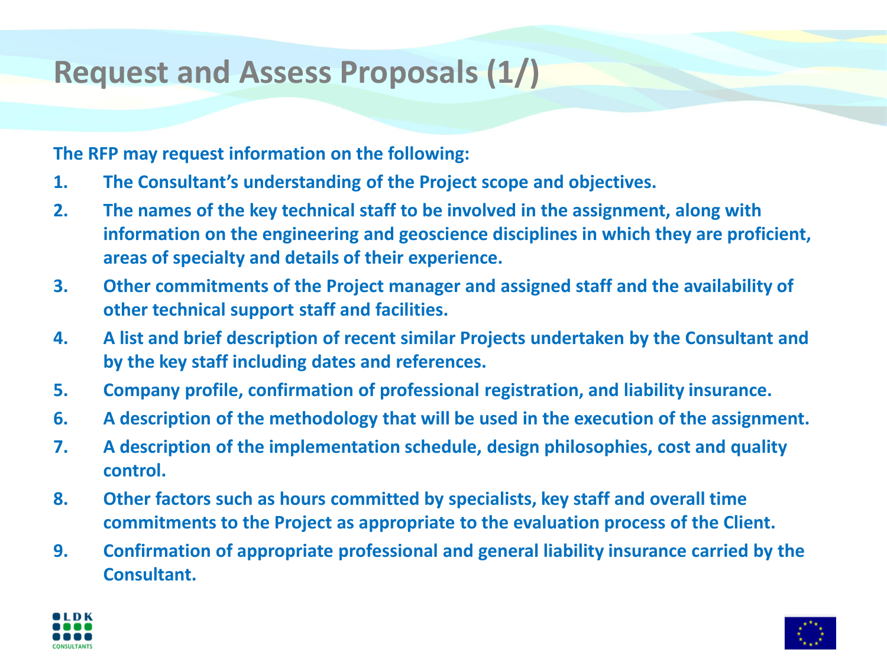# **Request and Assess Proposals (1/)**

**The RFP may request information on the following:**

- **1. The Consultant's understanding of the Project scope and objectives.**
- **2. The names of the key technical staff to be involved in the assignment, along with information on the engineering and geoscience disciplines in which they are proficient, areas of specialty and details of their experience.**
- **3. Other commitments of the Project manager and assigned staff and the availability of other technical support staff and facilities.**
- **4. A list and brief description of recent similar Projects undertaken by the Consultant and by the key staff including dates and references.**
- **5. Company profile, confirmation of professional registration, and liability insurance.**
- **6. A description of the methodology that will be used in the execution of the assignment.**
- **7. A description of the implementation schedule, design philosophies, cost and quality control.**
- **8. Other factors such as hours committed by specialists, key staff and overall time commitments to the Project as appropriate to the evaluation process of the Client.**
- **9. Confirmation of appropriate professional and general liability insurance carried by the Consultant.**



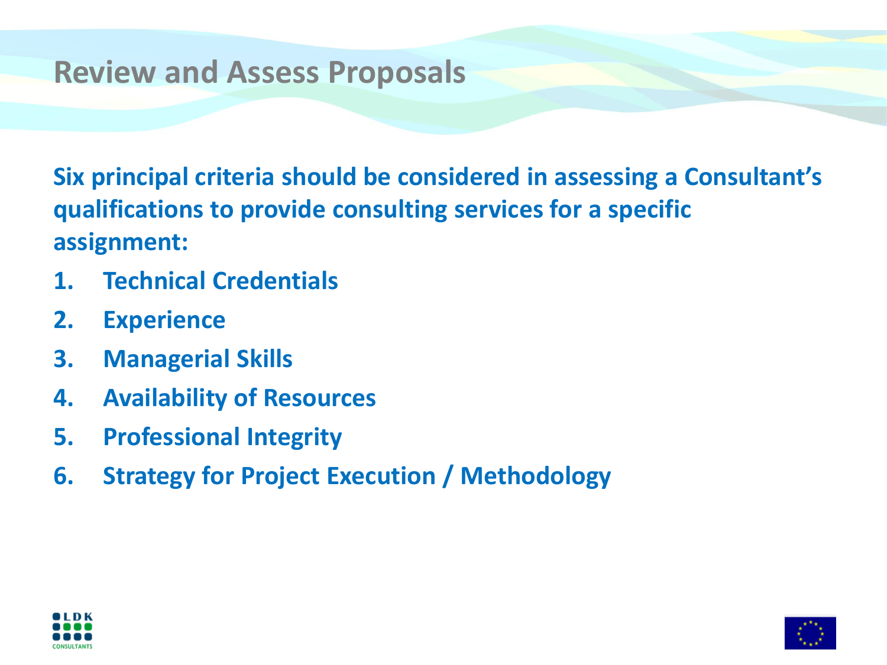#### **Review and Assess Proposals**

**Six principal criteria should be considered in assessing a Consultant's qualifications to provide consulting services for a specific assignment:**

- **1. Technical Credentials**
- **2. Experience**
- **3. Managerial Skills**
- **4. Availability of Resources**
- **5. Professional Integrity**
- **6. Strategy for Project Execution / Methodology**



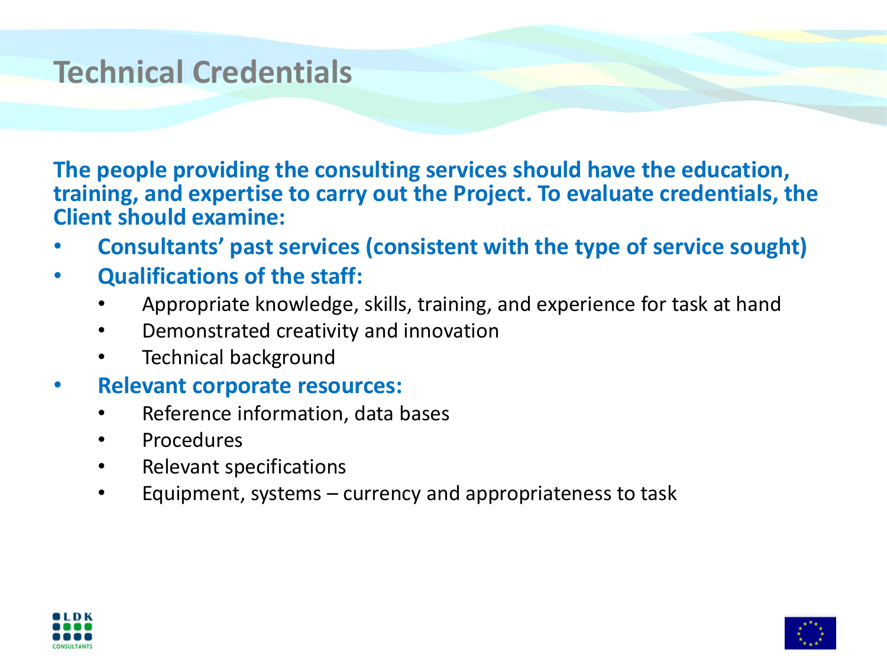#### **Technical Credentials**

**The people providing the consulting services should have the education, training, and expertise to carry out the Project. To evaluate credentials, the Client should examine:**

- **Consultants' past services (consistent with the type of service sought)**
- **Qualifications of the staff:**
	- Appropriate knowledge, skills, training, and experience for task at hand
	- Demonstrated creativity and innovation
	- Technical background
- **Relevant corporate resources:**
	- Reference information, data bases
	- Procedures
	- Relevant specifications
	- Equipment, systems currency and appropriateness to task



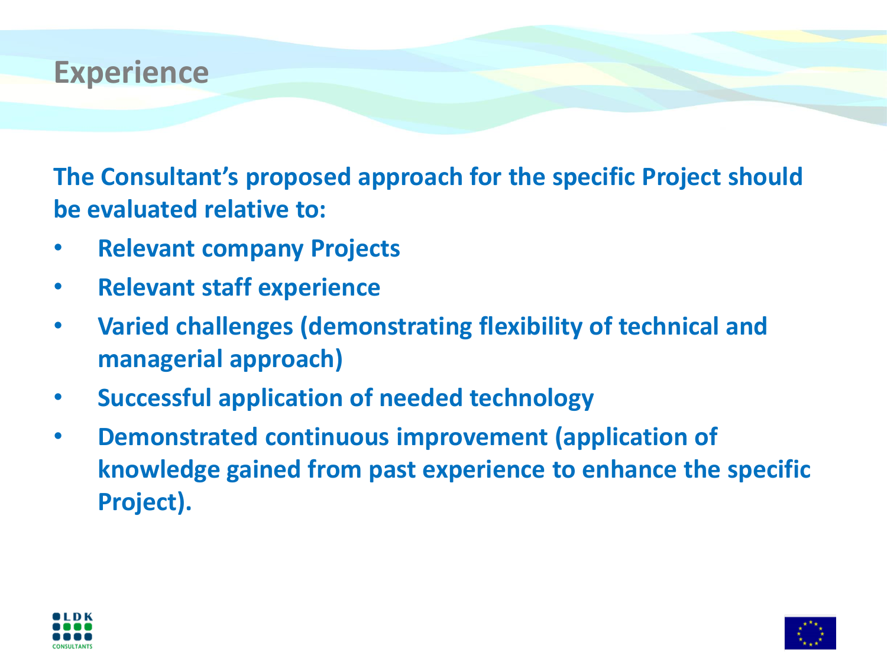

**The Consultant's proposed approach for the specific Project should be evaluated relative to:**

- **Relevant company Projects**
- **Relevant staff experience**
- **Varied challenges (demonstrating flexibility of technical and managerial approach)**
- **Successful application of needed technology**
- **Demonstrated continuous improvement (application of knowledge gained from past experience to enhance the specific Project).**



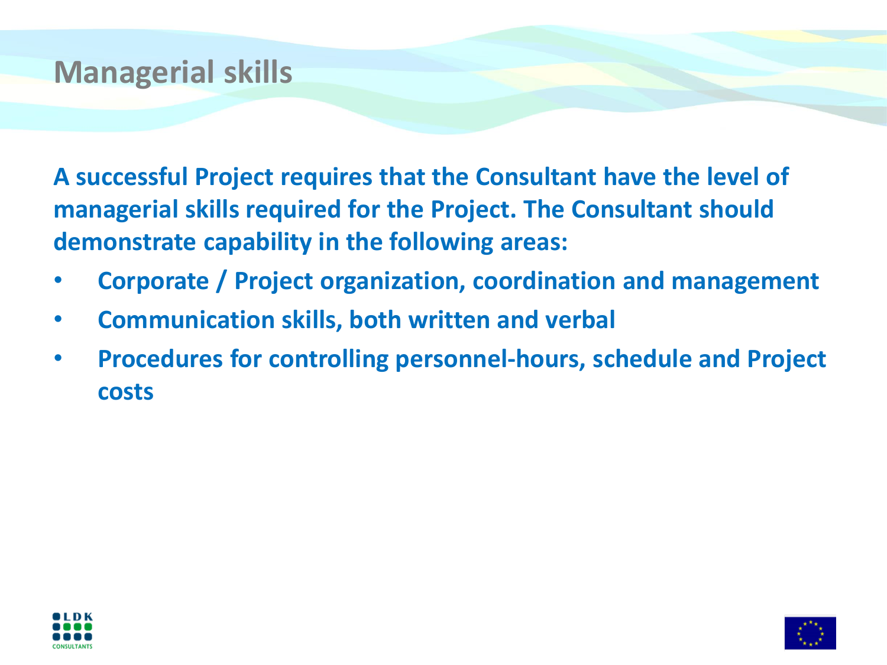# **Managerial skills**

**A successful Project requires that the Consultant have the level of managerial skills required for the Project. The Consultant should demonstrate capability in the following areas:**

- **Corporate / Project organization, coordination and management**
- **Communication skills, both written and verbal**
- **Procedures for controlling personnel-hours, schedule and Project costs**



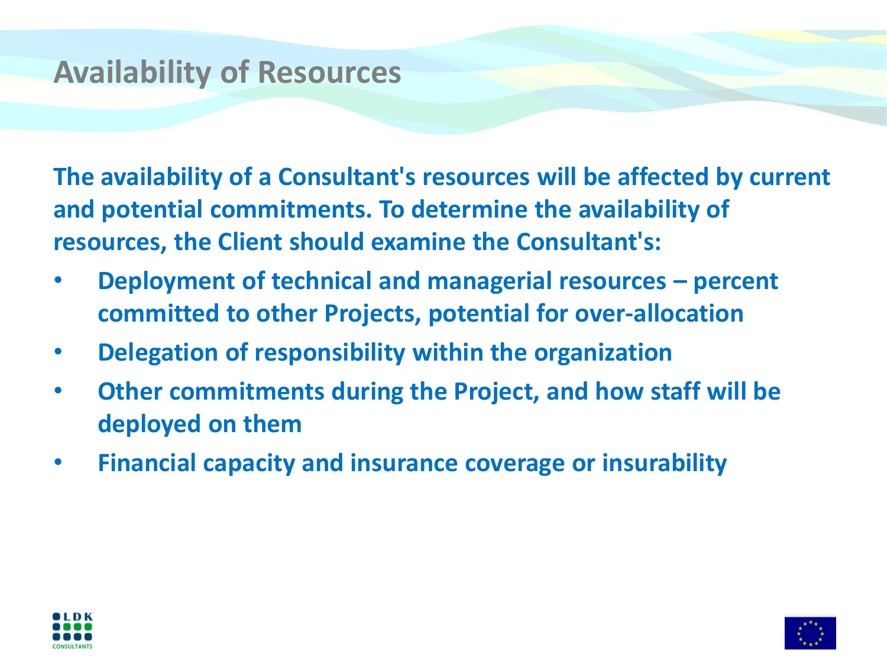# **Availability of Resources**

**The availability of a Consultant's resources will be affected by current and potential commitments. To determine the availability of resources, the Client should examine the Consultant's:**

- **Deployment of technical and managerial resources – percent committed to other Projects, potential for over-allocation**
- **Delegation of responsibility within the organization**
- **Other commitments during the Project, and how staff will be deployed on them**
- **Financial capacity and insurance coverage or insurability**



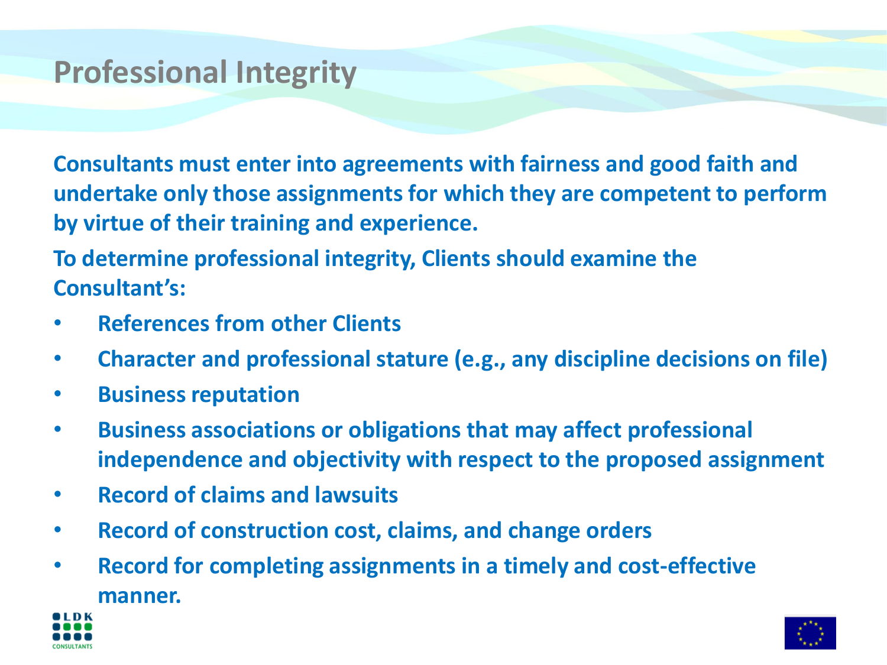# **Professional Integrity**

**Consultants must enter into agreements with fairness and good faith and undertake only those assignments for which they are competent to perform by virtue of their training and experience.**

**To determine professional integrity, Clients should examine the Consultant's:**

- **References from other Clients**
- **Character and professional stature (e.g., any discipline decisions on file)**
- **Business reputation**
- **Business associations or obligations that may affect professional independence and objectivity with respect to the proposed assignment**
- **Record of claims and lawsuits**
- **Record of construction cost, claims, and change orders**
- **Record for completing assignments in a timely and cost-effective manner.**



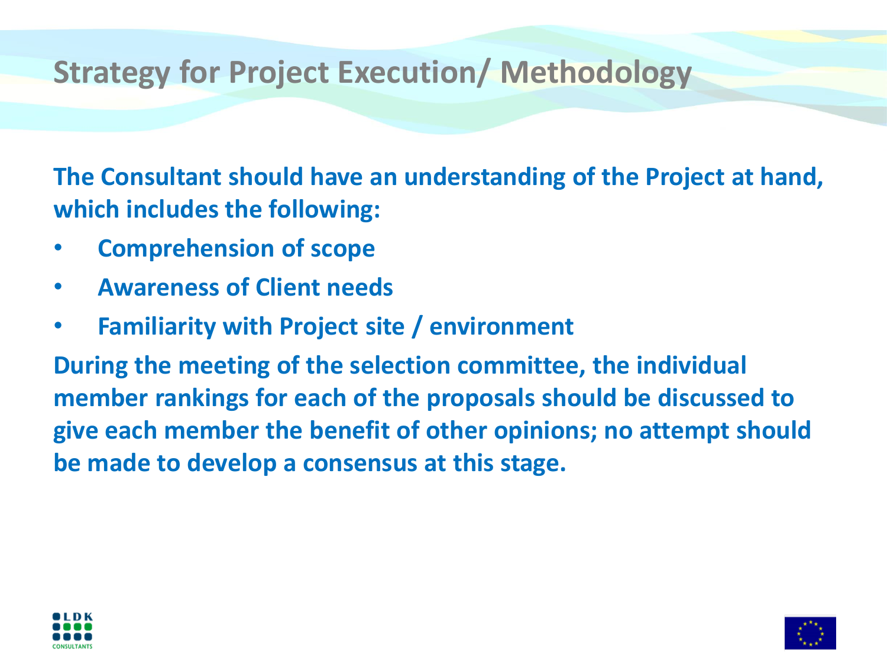# **Strategy for Project Execution/ Methodology**

**The Consultant should have an understanding of the Project at hand, which includes the following:**

- **Comprehension of scope**
- **Awareness of Client needs**
- **Familiarity with Project site / environment**

**During the meeting of the selection committee, the individual member rankings for each of the proposals should be discussed to give each member the benefit of other opinions; no attempt should be made to develop a consensus at this stage.**



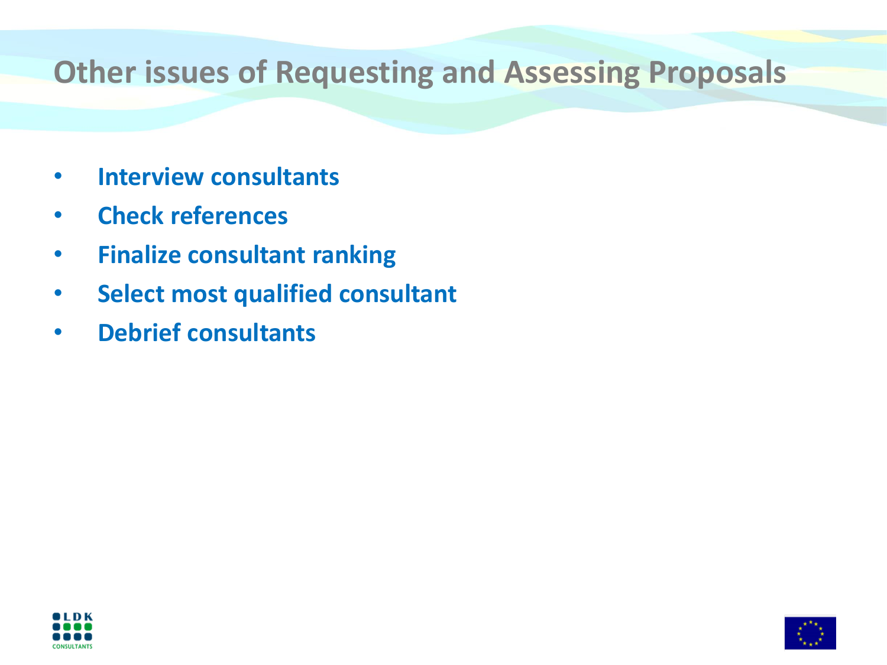## **Other issues of Requesting and Assessing Proposals**

- **Interview consultants**
- **Check references**
- **Finalize consultant ranking**
- **Select most qualified consultant**
- **Debrief consultants**



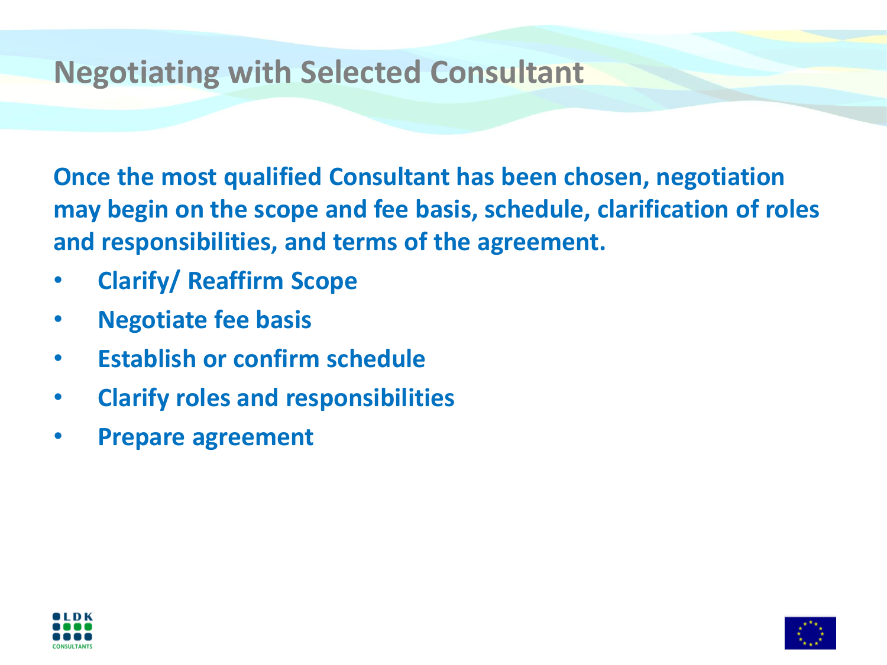#### **Negotiating with Selected Consultant**

**Once the most qualified Consultant has been chosen, negotiation may begin on the scope and fee basis, schedule, clarification of roles and responsibilities, and terms of the agreement.**

- **Clarify/ Reaffirm Scope**
- **Negotiate fee basis**
- **Establish or confirm schedule**
- **Clarify roles and responsibilities**
- **Prepare agreement**